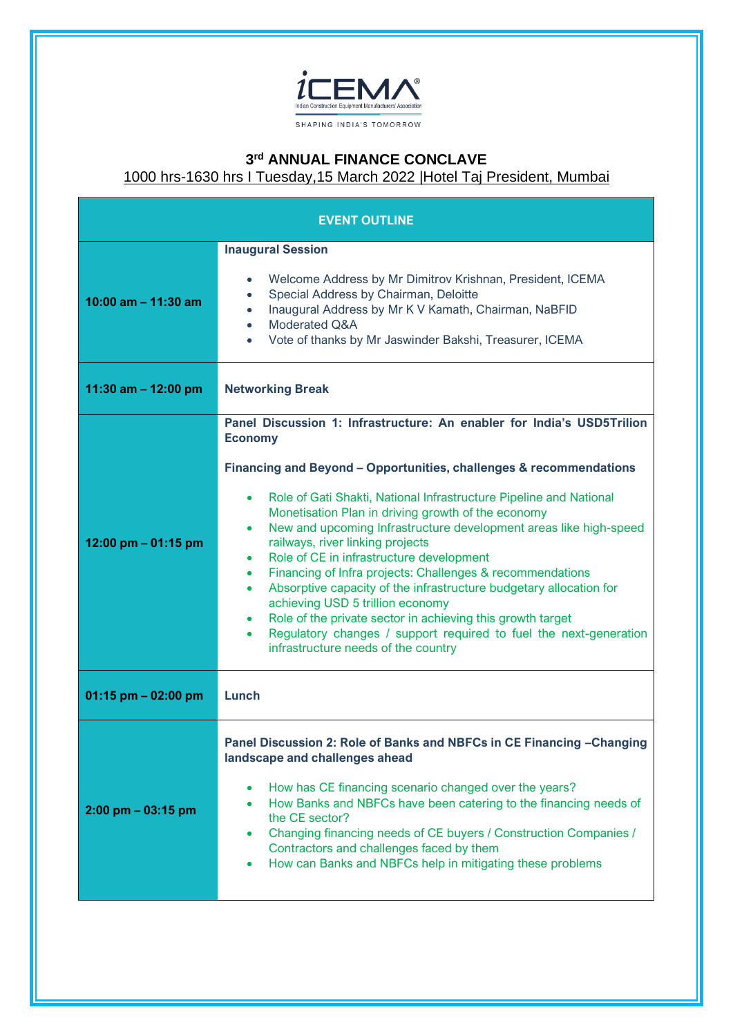

## **3 rd ANNUAL FINANCE CONCLAVE**

1000 hrs-1630 hrs I Tuesday,15 March 2022 |Hotel Taj President, Mumbai

| <b>EVENT OUTLINE</b>   |                                                                                                                                                                                                                                                                                                                                                                                                                                                                                                                                                                                                                                                                                                                                                                                                                                                     |
|------------------------|-----------------------------------------------------------------------------------------------------------------------------------------------------------------------------------------------------------------------------------------------------------------------------------------------------------------------------------------------------------------------------------------------------------------------------------------------------------------------------------------------------------------------------------------------------------------------------------------------------------------------------------------------------------------------------------------------------------------------------------------------------------------------------------------------------------------------------------------------------|
| 10:00 am $-$ 11:30 am  | <b>Inaugural Session</b><br>Welcome Address by Mr Dimitrov Krishnan, President, ICEMA<br>$\bullet$<br>Special Address by Chairman, Deloitte<br>$\bullet$<br>Inaugural Address by Mr K V Kamath, Chairman, NaBFID<br>$\bullet$<br>Moderated Q&A<br>$\bullet$<br>Vote of thanks by Mr Jaswinder Bakshi, Treasurer, ICEMA<br>$\bullet$                                                                                                                                                                                                                                                                                                                                                                                                                                                                                                                 |
| 11:30 am $-$ 12:00 pm  | <b>Networking Break</b>                                                                                                                                                                                                                                                                                                                                                                                                                                                                                                                                                                                                                                                                                                                                                                                                                             |
| 12:00 pm $-$ 01:15 pm  | Panel Discussion 1: Infrastructure: An enabler for India's USD5Trilion<br><b>Economy</b><br>Financing and Beyond – Opportunities, challenges & recommendations<br>Role of Gati Shakti, National Infrastructure Pipeline and National<br>٠<br>Monetisation Plan in driving growth of the economy<br>New and upcoming Infrastructure development areas like high-speed<br>$\bullet$<br>railways, river linking projects<br>Role of CE in infrastructure development<br>٠<br>Financing of Infra projects: Challenges & recommendations<br>$\bullet$<br>Absorptive capacity of the infrastructure budgetary allocation for<br>٠<br>achieving USD 5 trillion economy<br>Role of the private sector in achieving this growth target<br>٠<br>Regulatory changes / support required to fuel the next-generation<br>٠<br>infrastructure needs of the country |
| $01:15$ pm $-02:00$ pm | Lunch                                                                                                                                                                                                                                                                                                                                                                                                                                                                                                                                                                                                                                                                                                                                                                                                                                               |
| $2:00$ pm $-03:15$ pm  | Panel Discussion 2: Role of Banks and NBFCs in CE Financing - Changing<br>landscape and challenges ahead<br>How has CE financing scenario changed over the years?<br>$\bullet$<br>How Banks and NBFCs have been catering to the financing needs of<br>the CE sector?<br>Changing financing needs of CE buyers / Construction Companies /<br>٠<br>Contractors and challenges faced by them<br>How can Banks and NBFCs help in mitigating these problems<br>٠                                                                                                                                                                                                                                                                                                                                                                                         |